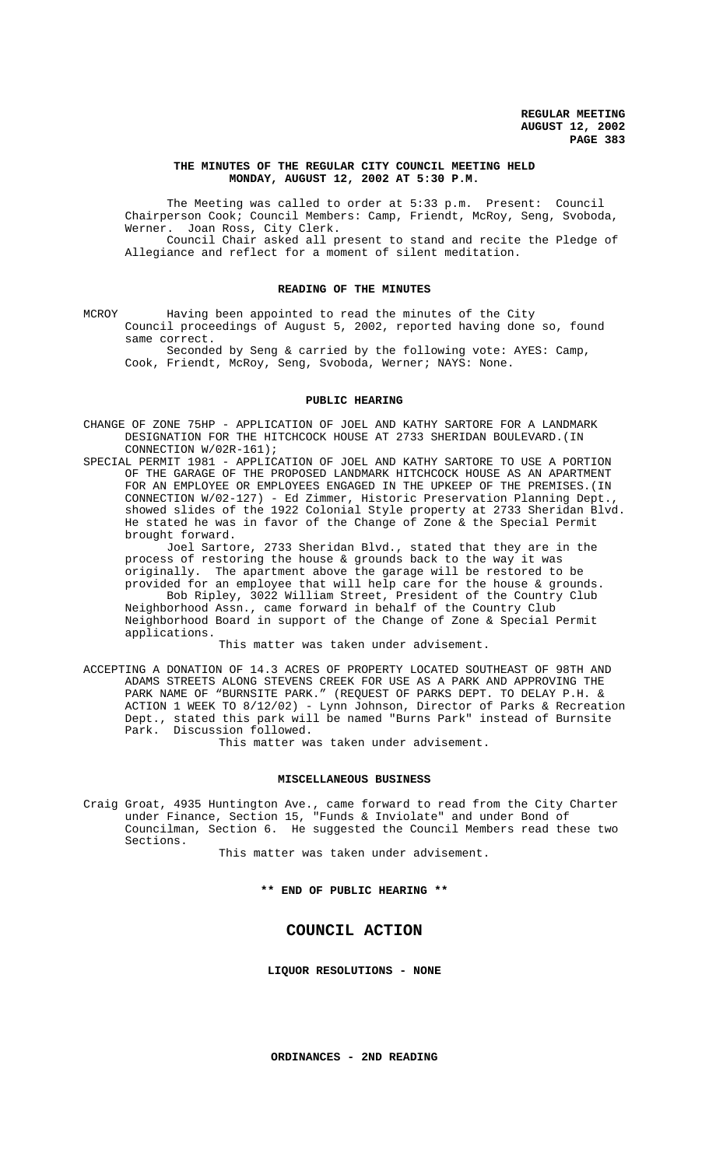# **THE MINUTES OF THE REGULAR CITY COUNCIL MEETING HELD MONDAY, AUGUST 12, 2002 AT 5:30 P.M.**

The Meeting was called to order at 5:33 p.m. Present: Council Chairperson Cook; Council Members: Camp, Friendt, McRoy, Seng, Svoboda, Werner. Joan Ross, City Clerk. Council Chair asked all present to stand and recite the Pledge of

Allegiance and reflect for a moment of silent meditation.

### **READING OF THE MINUTES**

MCROY Having been appointed to read the minutes of the City Council proceedings of August 5, 2002, reported having done so, found same correct.

Seconded by Seng & carried by the following vote: AYES: Camp, Cook, Friendt, McRoy, Seng, Svoboda, Werner; NAYS: None.

# **PUBLIC HEARING**

CHANGE OF ZONE 75HP - APPLICATION OF JOEL AND KATHY SARTORE FOR A LANDMARK DESIGNATION FOR THE HITCHCOCK HOUSE AT 2733 SHERIDAN BOULEVARD.(IN CONNECTION W/02R-161);

SPECIAL PERMIT 1981 - APPLICATION OF JOEL AND KATHY SARTORE TO USE A PORTION OF THE GARAGE OF THE PROPOSED LANDMARK HITCHCOCK HOUSE AS AN APARTMENT FOR AN EMPLOYEE OR EMPLOYEES ENGAGED IN THE UPKEEP OF THE PREMISES.(IN CONNECTION W/02-127) - Ed Zimmer, Historic Preservation Planning Dept., showed slides of the 1922 Colonial Style property at 2733 Sheridan Blvd. He stated he was in favor of the Change of Zone & the Special Permit brought forward.

Joel Sartore, 2733 Sheridan Blvd., stated that they are in the process of restoring the house & grounds back to the way it was originally. The apartment above the garage will be restored to be provided for an employee that will help care for the house & grounds. Bob Ripley, 3022 William Street, President of the Country Club Neighborhood Assn., came forward in behalf of the Country Club Neighborhood Board in support of the Change of Zone & Special Permit applications.

This matter was taken under advisement.

ACCEPTING A DONATION OF 14.3 ACRES OF PROPERTY LOCATED SOUTHEAST OF 98TH AND ADAMS STREETS ALONG STEVENS CREEK FOR USE AS A PARK AND APPROVING THE PARK NAME OF "BURNSITE PARK." (REQUEST OF PARKS DEPT. TO DELAY P.H. & ACTION 1 WEEK TO 8/12/02) - Lynn Johnson, Director of Parks & Recreation Dept., stated this park will be named "Burns Park" instead of Burnsite Park. Discussion followed.

This matter was taken under advisement.

# **MISCELLANEOUS BUSINESS**

Craig Groat, 4935 Huntington Ave., came forward to read from the City Charter under Finance, Section 15, "Funds & Inviolate" and under Bond of Councilman, Section 6. He suggested the Council Members read these two Sections.

This matter was taken under advisement.

**\*\* END OF PUBLIC HEARING \*\***

# **COUNCIL ACTION**

**LIQUOR RESOLUTIONS - NONE**

**ORDINANCES - 2ND READING**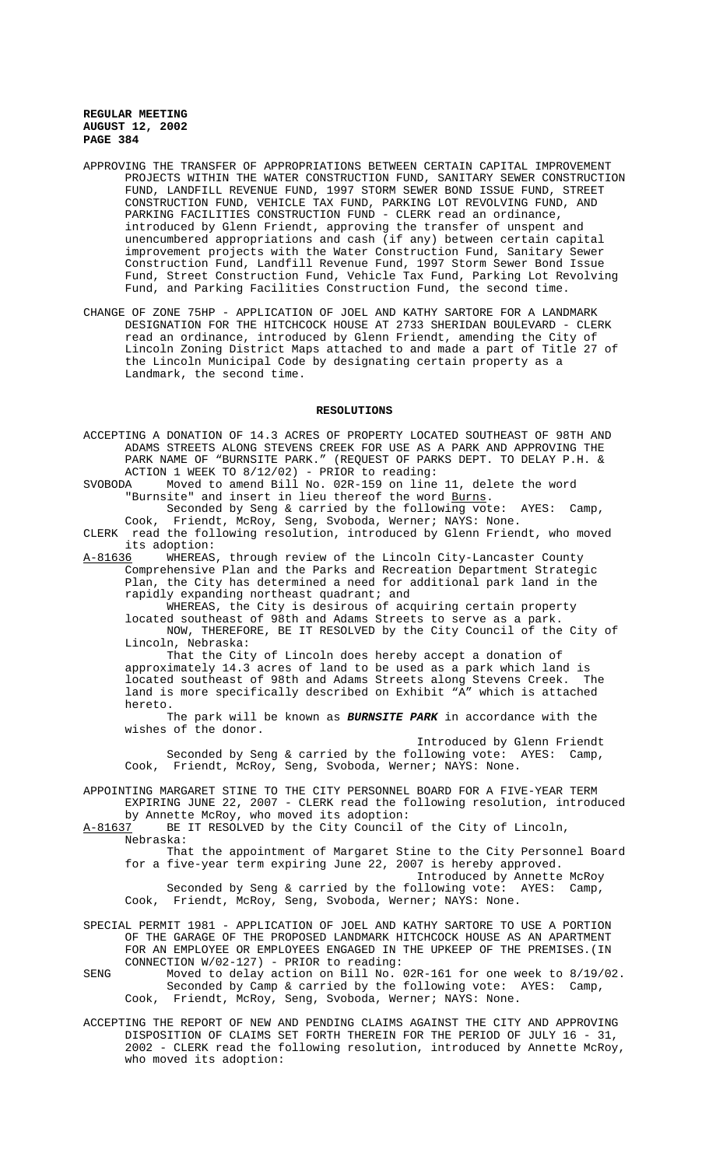- APPROVING THE TRANSFER OF APPROPRIATIONS BETWEEN CERTAIN CAPITAL IMPROVEMENT PROJECTS WITHIN THE WATER CONSTRUCTION FUND, SANITARY SEWER CONSTRUCTION FUND, LANDFILL REVENUE FUND, 1997 STORM SEWER BOND ISSUE FUND, STREET CONSTRUCTION FUND, VEHICLE TAX FUND, PARKING LOT REVOLVING FUND, AND PARKING FACILITIES CONSTRUCTION FUND - CLERK read an ordinance, introduced by Glenn Friendt, approving the transfer of unspent and unencumbered appropriations and cash (if any) between certain capital improvement projects with the Water Construction Fund, Sanitary Sewer Construction Fund, Landfill Revenue Fund, 1997 Storm Sewer Bond Issue Fund, Street Construction Fund, Vehicle Tax Fund, Parking Lot Revolving Fund, and Parking Facilities Construction Fund, the second time.
- CHANGE OF ZONE 75HP APPLICATION OF JOEL AND KATHY SARTORE FOR A LANDMARK DESIGNATION FOR THE HITCHCOCK HOUSE AT 2733 SHERIDAN BOULEVARD - CLERK read an ordinance, introduced by Glenn Friendt, amending the City of Lincoln Zoning District Maps attached to and made a part of Title 27 of the Lincoln Municipal Code by designating certain property as a Landmark, the second time.

#### **RESOLUTIONS**

- ACCEPTING A DONATION OF 14.3 ACRES OF PROPERTY LOCATED SOUTHEAST OF 98TH AND ADAMS STREETS ALONG STEVENS CREEK FOR USE AS A PARK AND APPROVING THE PARK NAME OF "BURNSITE PARK." (REQUEST OF PARKS DEPT. TO DELAY P.H. & ACTION 1 WEEK TO 8/12/02) - PRIOR to reading:<br>SVOBODA Moved to amend Bill No. 02R-159 on line
- Moved to amend Bill No. 02R-159 on line 11, delete the word "Burnsite" and insert in lieu thereof the word Burns.

Seconded by Seng & carried by the following vote: AYES: Camp, Cook, Friendt, McRoy, Seng, Svoboda, Werner; NAYS: None.

CLERK read the following resolution, introduced by Glenn Friendt, who moved its adoption:

A-81636 WHEREAS, through review of the Lincoln City-Lancaster County Comprehensive Plan and the Parks and Recreation Department Strategic Plan, the City has determined a need for additional park land in the rapidly expanding northeast quadrant; and

WHEREAS, the City is desirous of acquiring certain property located southeast of 98th and Adams Streets to serve as a park.

NOW, THEREFORE, BE IT RESOLVED by the City Council of the City of Lincoln, Nebraska:

That the City of Lincoln does hereby accept a donation of approximately 14.3 acres of land to be used as a park which land is<br>located southeast of 98th and Adams Streets along Stevens Creek. The located southeast of 98th and Adams Streets along Stevens Creek. land is more specifically described on Exhibit "A" which is attached hereto.

The park will be known as **BURNSITE PARK** in accordance with the wishes of the donor.

Introduced by Glenn Friendt Seconded by Seng & carried by the following vote: AYES: Camp, Cook, Friendt, McRoy, Seng, Svoboda, Werner; NAYS: None.

APPOINTING MARGARET STINE TO THE CITY PERSONNEL BOARD FOR A FIVE-YEAR TERM EXPIRING JUNE 22, 2007 - CLERK read the following resolution, introduced by Annette McRoy, who moved its adoption:

A-81637 BE IT RESOLVED by the City Council of the City of Lincoln, Nebraska:

That the appointment of Margaret Stine to the City Personnel Board for a five-year term expiring June 22, 2007 is hereby approved.

Introduced by Annette McRoy Seconded by Seng & carried by the following vote: AYES: Camp, Cook, Friendt, McRoy, Seng, Svoboda, Werner; NAYS: None.

SPECIAL PERMIT 1981 - APPLICATION OF JOEL AND KATHY SARTORE TO USE A PORTION OF THE GARAGE OF THE PROPOSED LANDMARK HITCHCOCK HOUSE AS AN APARTMENT FOR AN EMPLOYEE OR EMPLOYEES ENGAGED IN THE UPKEEP OF THE PREMISES.(IN CONNECTION W/02-127) - PRIOR to reading:

- SENG Moved to delay action on Bill No. 02R-161 for one week to 8/19/02. Seconded by Camp & carried by the following vote: AYES: Camp, Cook, Friendt, McRoy, Seng, Svoboda, Werner; NAYS: None.
- ACCEPTING THE REPORT OF NEW AND PENDING CLAIMS AGAINST THE CITY AND APPROVING DISPOSITION OF CLAIMS SET FORTH THEREIN FOR THE PERIOD OF JULY 16 - 31, 2002 - CLERK read the following resolution, introduced by Annette McRoy, who moved its adoption: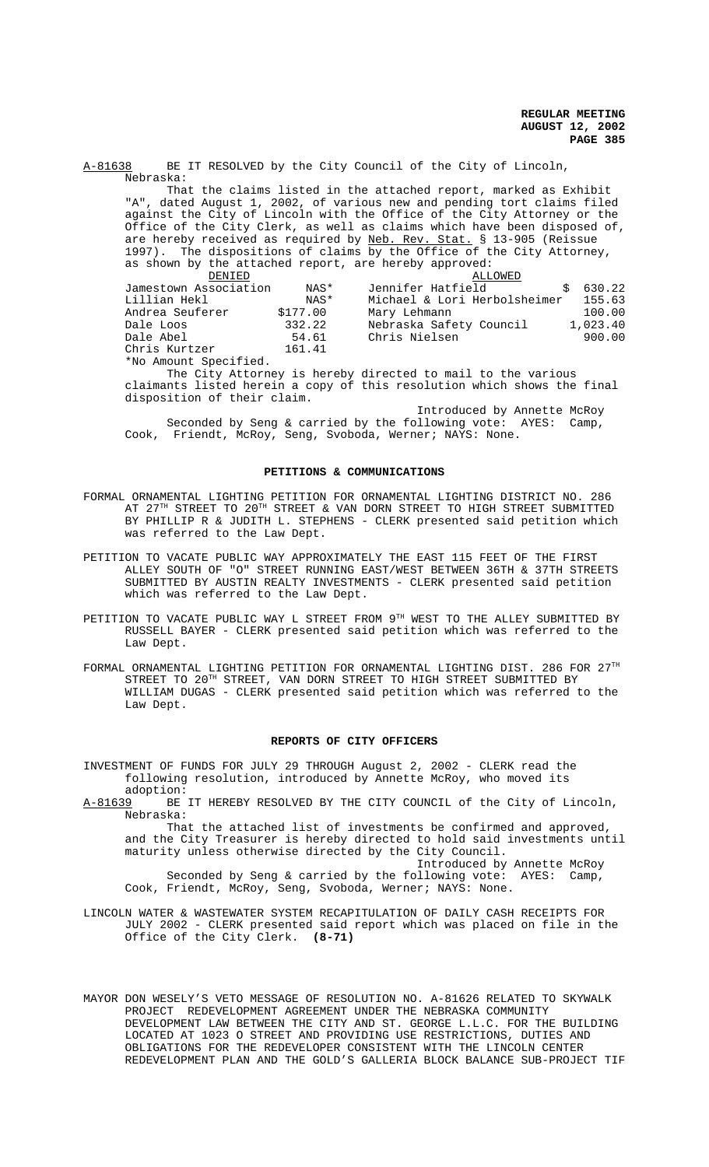A-81638 BE IT RESOLVED by the City Council of the City of Lincoln, Nebraska:

That the claims listed in the attached report, marked as Exhibit "A", dated August 1, 2002, of various new and pending tort claims filed against the City of Lincoln with the Office of the City Attorney or the Office of the City Clerk, as well as claims which have been disposed of, are hereby received as required by Neb. Rev. Stat. § 13-905 (Reissue 1997). The dispositions of claims by the Office of the City Attorney, as shown by the attached report, are hereby approved:

| DENIED                |          | ALLOWED                                                     |          |
|-----------------------|----------|-------------------------------------------------------------|----------|
| Jamestown Association | NAS*     | Jennifer Hatfield                                           | 630.22   |
| Lillian Hekl          | NAS*     | Michael & Lori Herbolsheimer                                | 155.63   |
| Andrea Seuferer       | \$177.00 | Mary Lehmann                                                | 100.00   |
| Dale Loos             | 332.22   | Nebraska Safety Council                                     | 1,023.40 |
| Dale Abel             | 54.61    | Chris Nielsen                                               | 900.00   |
| Chris Kurtzer         | 161.41   |                                                             |          |
| *No Amount Specified. |          |                                                             |          |
|                       |          | The City Attorney is bereby directed to mail to the various |          |

The City Attorney is hereby directed to mail to the various claimants listed herein a copy of this resolution which shows the final disposition of their claim.

Introduced by Annette McRoy Seconded by Seng & carried by the following vote: AYES: Camp, Cook, Friendt, McRoy, Seng, Svoboda, Werner; NAYS: None.

### **PETITIONS & COMMUNICATIONS**

- FORMAL ORNAMENTAL LIGHTING PETITION FOR ORNAMENTAL LIGHTING DISTRICT NO. 286 AT  $27^{\text{TH}}$  STREET TO  $20^{\text{TH}}$  STREET & VAN DORN STREET TO HIGH STREET SUBMITTED BY PHILLIP R & JUDITH L. STEPHENS - CLERK presented said petition which was referred to the Law Dept.
- PETITION TO VACATE PUBLIC WAY APPROXIMATELY THE EAST 115 FEET OF THE FIRST ALLEY SOUTH OF "O" STREET RUNNING EAST/WEST BETWEEN 36TH & 37TH STREETS SUBMITTED BY AUSTIN REALTY INVESTMENTS - CLERK presented said petition which was referred to the Law Dept.
- PETITION TO VACATE PUBLIC WAY L STREET FROM 9TH WEST TO THE ALLEY SUBMITTED BY RUSSELL BAYER - CLERK presented said petition which was referred to the Law Dept.
- FORMAL ORNAMENTAL LIGHTING PETITION FOR ORNAMENTAL LIGHTING DIST. 286 FOR  $27^{\text{\tiny{TH}}}$ STREET TO 20TH STREET, VAN DORN STREET TO HIGH STREET SUBMITTED BY WILLIAM DUGAS - CLERK presented said petition which was referred to the Law Dept.

# **REPORTS OF CITY OFFICERS**

- INVESTMENT OF FUNDS FOR JULY 29 THROUGH August 2, 2002 CLERK read the following resolution, introduced by Annette McRoy, who moved its adoption:
- A-81639 BE IT HEREBY RESOLVED BY THE CITY COUNCIL of the City of Lincoln, Nebraska:

That the attached list of investments be confirmed and approved, and the City Treasurer is hereby directed to hold said investments until maturity unless otherwise directed by the City Council.

Introduced by Annette McRoy Seconded by Seng & carried by the following vote: AYES: Camp, Cook, Friendt, McRoy, Seng, Svoboda, Werner; NAYS: None.

- LINCOLN WATER & WASTEWATER SYSTEM RECAPITULATION OF DAILY CASH RECEIPTS FOR JULY 2002 - CLERK presented said report which was placed on file in the Office of the City Clerk. **(8-71)**
- MAYOR DON WESELY'S VETO MESSAGE OF RESOLUTION NO. A-81626 RELATED TO SKYWALK PROJECT REDEVELOPMENT AGREEMENT UNDER THE NEBRASKA COMMUNITY DEVELOPMENT LAW BETWEEN THE CITY AND ST. GEORGE L.L.C. FOR THE BUILDING LOCATED AT 1023 O STREET AND PROVIDING USE RESTRICTIONS, DUTIES AND OBLIGATIONS FOR THE REDEVELOPER CONSISTENT WITH THE LINCOLN CENTER REDEVELOPMENT PLAN AND THE GOLD'S GALLERIA BLOCK BALANCE SUB-PROJECT TIF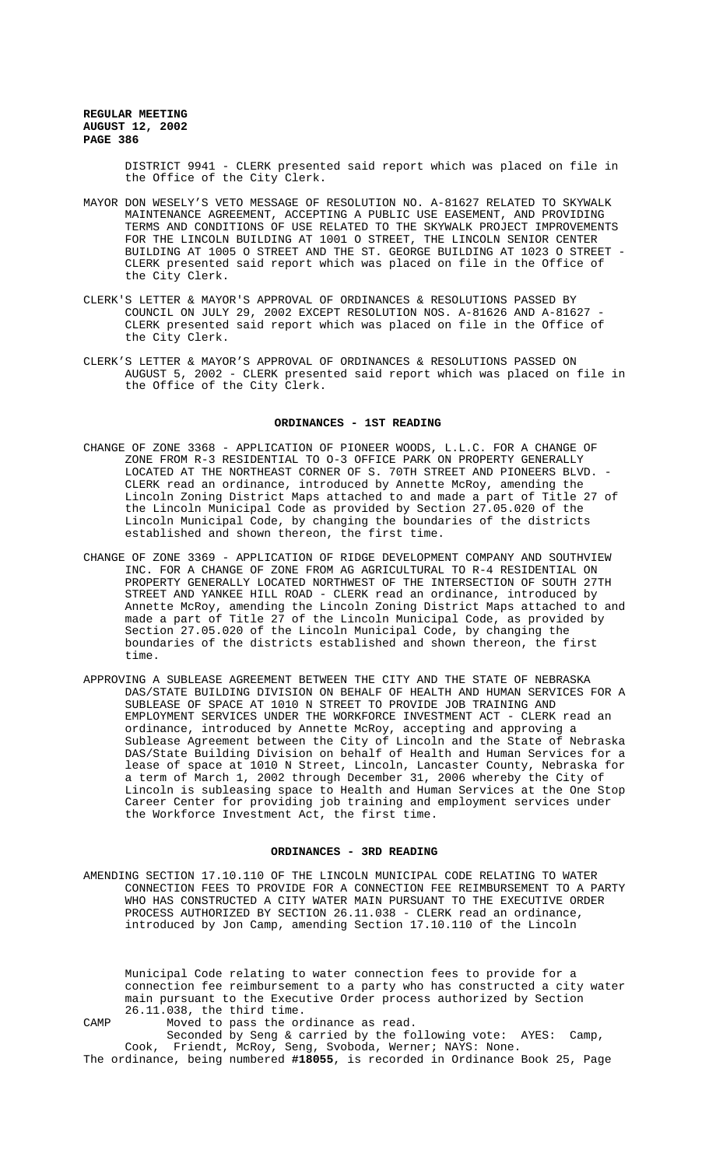> DISTRICT 9941 - CLERK presented said report which was placed on file in the Office of the City Clerk.

- MAYOR DON WESELY'S VETO MESSAGE OF RESOLUTION NO. A-81627 RELATED TO SKYWALK MAINTENANCE AGREEMENT, ACCEPTING A PUBLIC USE EASEMENT, AND PROVIDING TERMS AND CONDITIONS OF USE RELATED TO THE SKYWALK PROJECT IMPROVEMENTS FOR THE LINCOLN BUILDING AT 1001 O STREET, THE LINCOLN SENIOR CENTER BUILDING AT 1005 O STREET AND THE ST. GEORGE BUILDING AT 1023 O STREET - CLERK presented said report which was placed on file in the Office of the City Clerk.
- CLERK'S LETTER & MAYOR'S APPROVAL OF ORDINANCES & RESOLUTIONS PASSED BY COUNCIL ON JULY 29, 2002 EXCEPT RESOLUTION NOS. A-81626 AND A-81627 - CLERK presented said report which was placed on file in the Office of the City Clerk.
- CLERK'S LETTER & MAYOR'S APPROVAL OF ORDINANCES & RESOLUTIONS PASSED ON AUGUST 5, 2002 - CLERK presented said report which was placed on file in the Office of the City Clerk.

## **ORDINANCES - 1ST READING**

- CHANGE OF ZONE 3368 APPLICATION OF PIONEER WOODS, L.L.C. FOR A CHANGE OF ZONE FROM R-3 RESIDENTIAL TO O-3 OFFICE PARK ON PROPERTY GENERALLY LOCATED AT THE NORTHEAST CORNER OF S. 70TH STREET AND PIONEERS BLVD. -CLERK read an ordinance, introduced by Annette McRoy, amending the Lincoln Zoning District Maps attached to and made a part of Title 27 of the Lincoln Municipal Code as provided by Section 27.05.020 of the Lincoln Municipal Code, by changing the boundaries of the districts established and shown thereon, the first time.
- CHANGE OF ZONE 3369 APPLICATION OF RIDGE DEVELOPMENT COMPANY AND SOUTHVIEW INC. FOR A CHANGE OF ZONE FROM AG AGRICULTURAL TO R-4 RESIDENTIAL ON PROPERTY GENERALLY LOCATED NORTHWEST OF THE INTERSECTION OF SOUTH 27TH STREET AND YANKEE HILL ROAD - CLERK read an ordinance, introduced by Annette McRoy, amending the Lincoln Zoning District Maps attached to and made a part of Title 27 of the Lincoln Municipal Code, as provided by Section 27.05.020 of the Lincoln Municipal Code, by changing the boundaries of the districts established and shown thereon, the first time.
- APPROVING A SUBLEASE AGREEMENT BETWEEN THE CITY AND THE STATE OF NEBRASKA DAS/STATE BUILDING DIVISION ON BEHALF OF HEALTH AND HUMAN SERVICES FOR A SUBLEASE OF SPACE AT 1010 N STREET TO PROVIDE JOB TRAINING AND EMPLOYMENT SERVICES UNDER THE WORKFORCE INVESTMENT ACT - CLERK read an ordinance, introduced by Annette McRoy, accepting and approving a Sublease Agreement between the City of Lincoln and the State of Nebraska DAS/State Building Division on behalf of Health and Human Services for a lease of space at 1010 N Street, Lincoln, Lancaster County, Nebraska for a term of March 1, 2002 through December 31, 2006 whereby the City of Lincoln is subleasing space to Health and Human Services at the One Stop Career Center for providing job training and employment services under the Workforce Investment Act, the first time.

#### **ORDINANCES - 3RD READING**

AMENDING SECTION 17.10.110 OF THE LINCOLN MUNICIPAL CODE RELATING TO WATER CONNECTION FEES TO PROVIDE FOR A CONNECTION FEE REIMBURSEMENT TO A PARTY WHO HAS CONSTRUCTED A CITY WATER MAIN PURSUANT TO THE EXECUTIVE ORDER PROCESS AUTHORIZED BY SECTION 26.11.038 - CLERK read an ordinance, introduced by Jon Camp, amending Section 17.10.110 of the Lincoln

Municipal Code relating to water connection fees to provide for a connection fee reimbursement to a party who has constructed a city water main pursuant to the Executive Order process authorized by Section 26.11.038, the third time.

CAMP Moved to pass the ordinance as read. Seconded by Seng & carried by the following vote: AYES: Camp, Cook, Friendt, McRoy, Seng, Svoboda, Werner; NAYS: None.

The ordinance, being numbered **#18055**, is recorded in Ordinance Book 25, Page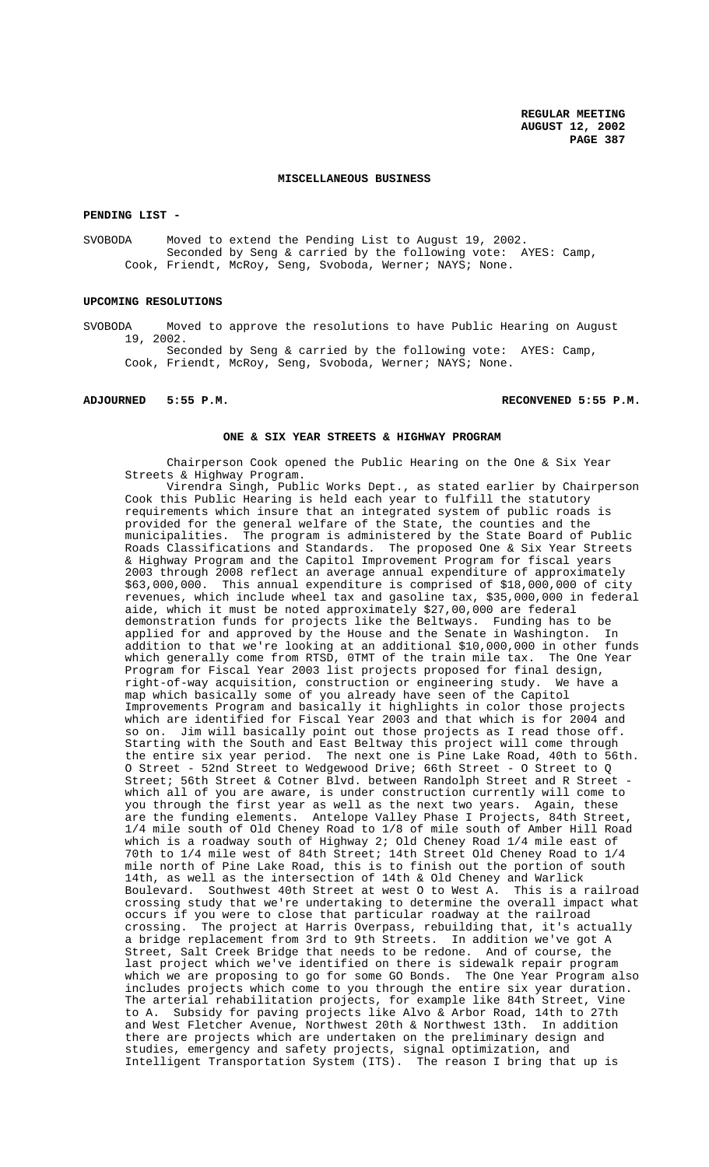# **MISCELLANEOUS BUSINESS**

#### **PENDING LIST -**

SVOBODA Moved to extend the Pending List to August 19, 2002. Seconded by Seng & carried by the following vote: AYES: Camp, Cook, Friendt, McRoy, Seng, Svoboda, Werner; NAYS; None.

# **UPCOMING RESOLUTIONS**

SVOBODA Moved to approve the resolutions to have Public Hearing on August 19, 2002.

Seconded by Seng & carried by the following vote: AYES: Camp, Cook, Friendt, McRoy, Seng, Svoboda, Werner; NAYS; None.

# **ADJOURNED 5:55 P.M. RECONVENED 5:55 P.M.**

#### **ONE & SIX YEAR STREETS & HIGHWAY PROGRAM**

Chairperson Cook opened the Public Hearing on the One & Six Year Streets & Highway Program.

Virendra Singh, Public Works Dept., as stated earlier by Chairperson Cook this Public Hearing is held each year to fulfill the statutory requirements which insure that an integrated system of public roads is provided for the general welfare of the State, the counties and the municipalities. The program is administered by the State Board of Public Roads Classifications and Standards. The proposed One & Six Year Streets & Highway Program and the Capitol Improvement Program for fiscal years 2003 through 2008 reflect an average annual expenditure of approximately \$63,000,000. This annual expenditure is comprised of \$18,000,000 of city revenues, which include wheel tax and gasoline tax, \$35,000,000 in federal aide, which it must be noted approximately \$27,00,000 are federal demonstration funds for projects like the Beltways. Funding has to be applied for and approved by the House and the Senate in Washington. In addition to that we're looking at an additional \$10,000,000 in other funds which generally come from RTSD, OTMT of the train mile tax. The One Year Program for Fiscal Year 2003 list projects proposed for final design,<br>right-of-way acquisition, construction or engineering study. We have a right-of-way acquisition, construction or engineering study. map which basically some of you already have seen of the Capitol Improvements Program and basically it highlights in color those projects which are identified for Fiscal Year 2003 and that which is for 2004 and so on. Jim will basically point out those projects as I read those off. Starting with the South and East Beltway this project will come through the entire six year period. The next one is Pine Lake Road, 40th to 56th. O Street - 52nd Street to Wedgewood Drive; 66th Street - O Street to Q Street; 56th Street & Cotner Blvd. between Randolph Street and R Street which all of you are aware, is under construction currently will come to you through the first year as well as the next two years. Again, these are the funding elements. Antelope Valley Phase I Projects, 84th Street, 1/4 mile south of Old Cheney Road to 1/8 of mile south of Amber Hill Road which is a roadway south of Highway 2; Old Cheney Road 1/4 mile east of 70th to 1/4 mile west of 84th Street; 14th Street Old Cheney Road to 1/4 mile north of Pine Lake Road, this is to finish out the portion of south 14th, as well as the intersection of 14th & Old Cheney and Warlick Boulevard. Southwest 40th Street at west O to West A. This is a railroad crossing study that we're undertaking to determine the overall impact what occurs if you were to close that particular roadway at the railroad crossing. The project at Harris Overpass, rebuilding that, it's actually a bridge replacement from 3rd to 9th Streets. In addition we've got A Street, Salt Creek Bridge that needs to be redone. And of course, the last project which we've identified on there is sidewalk repair program which we are proposing to go for some GO Bonds. The One Year Program also includes projects which come to you through the entire six year duration. The arterial rehabilitation projects, for example like 84th Street, Vine to A. Subsidy for paving projects like Alvo & Arbor Road, 14th to 27th and West Fletcher Avenue, Northwest 20th & Northwest 13th. In addition there are projects which are undertaken on the preliminary design and studies, emergency and safety projects, signal optimization, and Intelligent Transportation System (ITS). The reason I bring that up is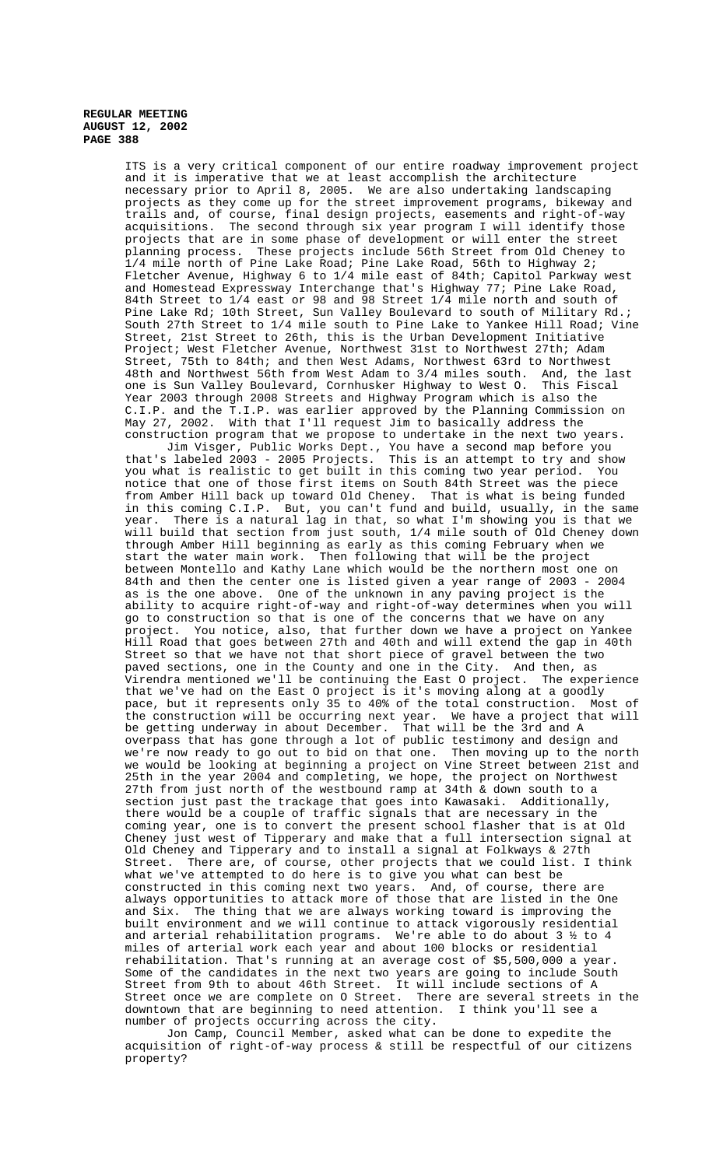> ITS is a very critical component of our entire roadway improvement project and it is imperative that we at least accomplish the architecture necessary prior to April 8, 2005. We are also undertaking landscaping projects as they come up for the street improvement programs, bikeway and trails and, of course, final design projects, easements and right-of-way acquisitions. The second through six year program I will identify those projects that are in some phase of development or will enter the street planning process. These projects include 56th Street from Old Cheney to 1/4 mile north of Pine Lake Road; Pine Lake Road, 56th to Highway 2; Fletcher Avenue, Highway 6 to 1/4 mile east of 84th; Capitol Parkway west and Homestead Expressway Interchange that's Highway 77; Pine Lake Road, 84th Street to  $1/4$  east or 98 and 98 Street  $1/4$  mile north and south of Pine Lake Rd; 10th Street, Sun Valley Boulevard to south of Military Rd.; South 27th Street to 1/4 mile south to Pine Lake to Yankee Hill Road; Vine Street, 21st Street to 26th, this is the Urban Development Initiative Project; West Fletcher Avenue, Northwest 31st to Northwest 27th; Adam Street, 75th to 84th; and then West Adams, Northwest 63rd to Northwest 48th and Northwest 56th from West Adam to 3/4 miles south. And, the last one is Sun Valley Boulevard, Cornhusker Highway to West O. This Fiscal Year 2003 through 2008 Streets and Highway Program which is also the C.I.P. and the T.I.P. was earlier approved by the Planning Commission on May 27, 2002. With that I'll request Jim to basically address the construction program that we propose to undertake in the next two years.

> Jim Visger, Public Works Dept., You have a second map before you that's labeled 2003 - 2005 Projects. This is an attempt to try and show you what is realistic to get built in this coming two year period. You notice that one of those first items on South 84th Street was the piece from Amber Hill back up toward Old Cheney. That is what is being funded in this coming C.I.P. But, you can't fund and build, usually, in the same year. There is a natural lag in that, so what I'm showing you is that we will build that section from just south, 1/4 mile south of Old Cheney down through Amber Hill beginning as early as this coming February when we start the water main work. Then following that will be the project between Montello and Kathy Lane which would be the northern most one on 84th and then the center one is listed given a year range of 2003 - 2004 as is the one above. One of the unknown in any paving project is the ability to acquire right-of-way and right-of-way determines when you will go to construction so that is one of the concerns that we have on any project. You notice, also, that further down we have a project on Yankee Hill Road that goes between 27th and 40th and will extend the gap in 40th Street so that we have not that short piece of gravel between the two paved sections, one in the County and one in the City. And then, as Virendra mentioned we'll be continuing the East O project. The experience that we've had on the East O project is it's moving along at a goodly pace, but it represents only 35 to 40% of the total construction. Most of the construction will be occurring next year. We have a project that will be getting underway in about December. That will be the 3rd and A De getting underway in doctor recomments.<br>Overpass that has gone through a lot of public testimony and design and we're now ready to go out to bid on that one. Then moving up to the north we would be looking at beginning a project on Vine Street between 21st and 25th in the year 2004 and completing, we hope, the project on Northwest 27th from just north of the westbound ramp at 34th & down south to a section just past the trackage that goes into Kawasaki. Additionally, there would be a couple of traffic signals that are necessary in the coming year, one is to convert the present school flasher that is at Old Cheney just west of Tipperary and make that a full intersection signal at Old Cheney and Tipperary and to install a signal at Folkways & 27th Street. There are, of course, other projects that we could list. I think what we've attempted to do here is to give you what can best be constructed in this coming next two years. And, of course, there are always opportunities to attack more of those that are listed in the One and Six. The thing that we are always working toward is improving the built environment and we will continue to attack vigorously residential and arterial rehabilitation programs. We're able to do about 3 ½ to 4 miles of arterial work each year and about 100 blocks or residential rehabilitation. That's running at an average cost of \$5,500,000 a year. Some of the candidates in the next two years are going to include South Street from 9th to about 46th Street. It will include sections of A Street once we are complete on O Street. There are several streets in the downtown that are beginning to need attention. I think you'll see a number of projects occurring across the city.

Jon Camp, Council Member, asked what can be done to expedite the acquisition of right-of-way process & still be respectful of our citizens property?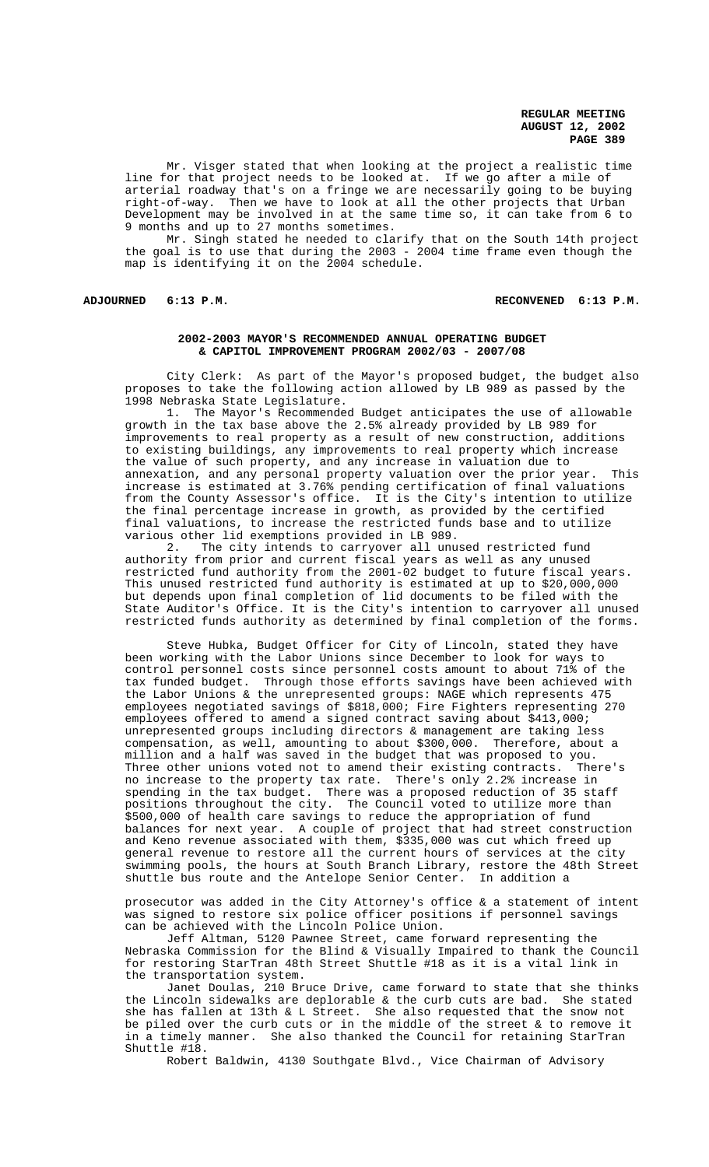Mr. Visger stated that when looking at the project a realistic time line for that project needs to be looked at. If we go after a mile of arterial roadway that's on a fringe we are necessarily going to be buying right-of-way. Then we have to look at all the other projects that Urban Development may be involved in at the same time so, it can take from 6 to 9 months and up to 27 months sometimes.

Mr. Singh stated he needed to clarify that on the South 14th project the goal is to use that during the 2003 - 2004 time frame even though the map is identifying it on the 2004 schedule.

# **ADJOURNED 6:13 P.M. RECONVENED 6:13 P.M.**

# **2002-2003 MAYOR'S RECOMMENDED ANNUAL OPERATING BUDGET & CAPITOL IMPROVEMENT PROGRAM 2002/03 - 2007/08**

City Clerk: As part of the Mayor's proposed budget, the budget also proposes to take the following action allowed by LB 989 as passed by the 1998 Nebraska State Legislature.

1. The Mayor's Recommended Budget anticipates the use of allowable growth in the tax base above the 2.5% already provided by LB 989 for improvements to real property as a result of new construction, additions to existing buildings, any improvements to real property which increase the value of such property, and any increase in valuation due to annexation, and any personal property valuation over the prior year. This increase is estimated at 3.76% pending certification of final valuations from the County Assessor's office. It is the City's intention to utilize the final percentage increase in growth, as provided by the certified final valuations, to increase the restricted funds base and to utilize various other lid exemptions provided in LB 989.

2. The city intends to carryover all unused restricted fund authority from prior and current fiscal years as well as any unused restricted fund authority from the 2001-02 budget to future fiscal years. This unused restricted fund authority is estimated at up to \$20,000,000 but depends upon final completion of lid documents to be filed with the State Auditor's Office. It is the City's intention to carryover all unused restricted funds authority as determined by final completion of the forms.

Steve Hubka, Budget Officer for City of Lincoln, stated they have been working with the Labor Unions since December to look for ways to control personnel costs since personnel costs amount to about 71% of the tax funded budget. Through those efforts savings have been achieved with the Labor Unions & the unrepresented groups: NAGE which represents 475 employees negotiated savings of \$818,000; Fire Fighters representing 270 employees offered to amend a signed contract saving about \$413,000; unrepresented groups including directors & management are taking less compensation, as well, amounting to about \$300,000. Therefore, about a million and a half was saved in the budget that was proposed to you. Three other unions voted not to amend their existing contracts. There's no increase to the property tax rate. There's only 2.2% increase in spending in the tax budget. There was a proposed reduction of 35 staff positions throughout the city. The Council voted to utilize more than \$500,000 of health care savings to reduce the appropriation of fund balances for next year. A couple of project that had street construction and Keno revenue associated with them, \$335,000 was cut which freed up general revenue to restore all the current hours of services at the city swimming pools, the hours at South Branch Library, restore the 48th Street<br>shuttle bus route and the Antelope Senior Center. In addition a shuttle bus route and the Antelope Senior Center.

prosecutor was added in the City Attorney's office & a statement of intent was signed to restore six police officer positions if personnel savings can be achieved with the Lincoln Police Union.

Jeff Altman, 5120 Pawnee Street, came forward representing the Nebraska Commission for the Blind & Visually Impaired to thank the Council for restoring StarTran 48th Street Shuttle #18 as it is a vital link in the transportation system.

Janet Doulas, 210 Bruce Drive, came forward to state that she thinks the Lincoln sidewalks are deplorable & the curb cuts are bad. She stated she has fallen at 13th & L Street. She also requested that the snow not be piled over the curb cuts or in the middle of the street & to remove it in a timely manner. She also thanked the Council for retaining StarTran Shuttle #18.

Robert Baldwin, 4130 Southgate Blvd., Vice Chairman of Advisory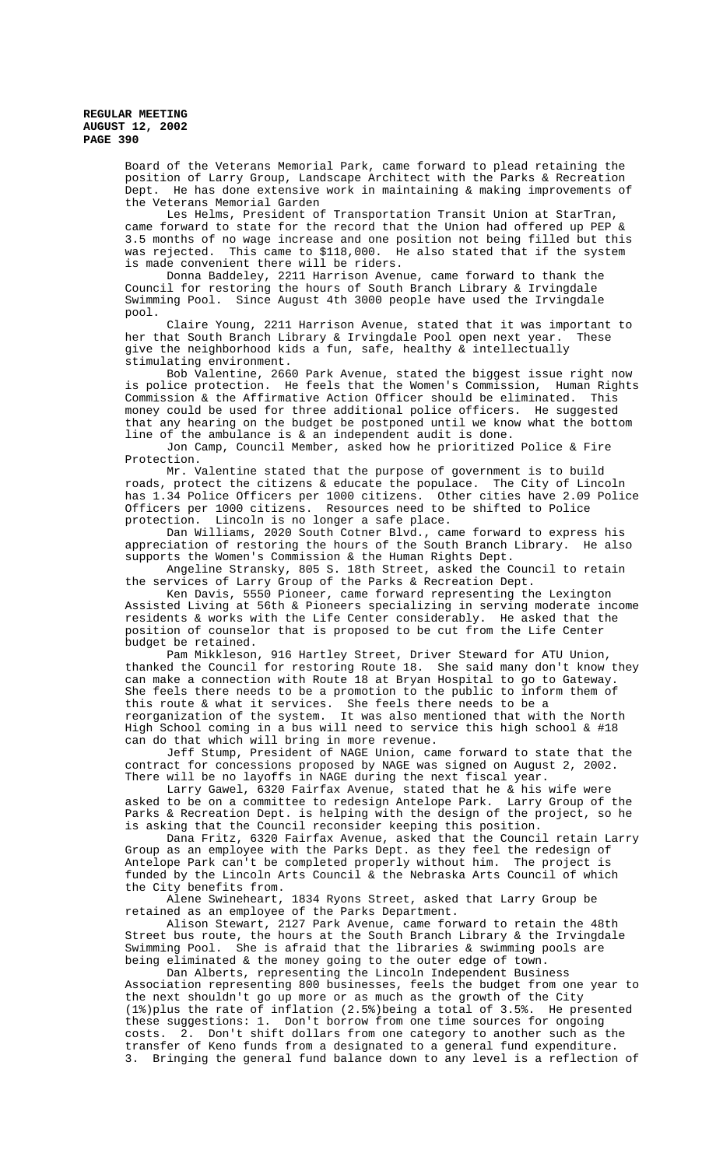Board of the Veterans Memorial Park, came forward to plead retaining the position of Larry Group, Landscape Architect with the Parks & Recreation Dept. He has done extensive work in maintaining & making improvements of the Veterans Memorial Garden

Les Helms, President of Transportation Transit Union at StarTran, came forward to state for the record that the Union had offered up PEP & 3.5 months of no wage increase and one position not being filled but this was rejected. This came to \$118,000. He also stated that if the system is made convenient there will be riders.

Donna Baddeley, 2211 Harrison Avenue, came forward to thank the Council for restoring the hours of South Branch Library & Irvingdale Swimming Pool. Since August 4th 3000 people have used the Irvingdale pool.

Claire Young, 2211 Harrison Avenue, stated that it was important to her that South Branch Library & Irvingdale Pool open next year. These give the neighborhood kids a fun, safe, healthy & intellectually stimulating environment.

Bob Valentine, 2660 Park Avenue, stated the biggest issue right now is police protection. He feels that the Women's Commission, Human Rights Commission & the Affirmative Action Officer should be eliminated. This money could be used for three additional police officers. He suggested that any hearing on the budget be postponed until we know what the bottom line of the ambulance is & an independent audit is done.

Jon Camp, Council Member, asked how he prioritized Police & Fire Protection.

Mr. Valentine stated that the purpose of government is to build roads, protect the citizens & educate the populace. The City of Lincoln has 1.34 Police Officers per 1000 citizens. Other cities have 2.09 Police Officers per 1000 citizens. Resources need to be shifted to Police protection. Lincoln is no longer a safe place.

Dan Williams, 2020 South Cotner Blvd., came forward to express his appreciation of restoring the hours of the South Branch Library. He also supports the Women's Commission & the Human Rights Dept.

Angeline Stransky, 805 S. 18th Street, asked the Council to retain the services of Larry Group of the Parks & Recreation Dept.

Ken Davis, 5550 Pioneer, came forward representing the Lexington Assisted Living at 56th & Pioneers specializing in serving moderate income residents & works with the Life Center considerably. He asked that the position of counselor that is proposed to be cut from the Life Center budget be retained.

Pam Mikkleson, 916 Hartley Street, Driver Steward for ATU Union, thanked the Council for restoring Route 18. She said many don't know they can make a connection with Route 18 at Bryan Hospital to go to Gateway. She feels there needs to be a promotion to the public to inform them of this route & what it services. She feels there needs to be a reorganization of the system. It was also mentioned that with the North High School coming in a bus will need to service this high school & #18 can do that which will bring in more revenue.

Jeff Stump, President of NAGE Union, came forward to state that the contract for concessions proposed by NAGE was signed on August 2, 2002. There will be no layoffs in NAGE during the next fiscal year.

Larry Gawel, 6320 Fairfax Avenue, stated that he & his wife were asked to be on a committee to redesign Antelope Park. Larry Group of the Parks & Recreation Dept. is helping with the design of the project, so he is asking that the Council reconsider keeping this position.

Dana Fritz, 6320 Fairfax Avenue, asked that the Council retain Larry Group as an employee with the Parks Dept. as they feel the redesign of Antelope Park can't be completed properly without him. The project is funded by the Lincoln Arts Council & the Nebraska Arts Council of which the City benefits from.

Alene Swineheart, 1834 Ryons Street, asked that Larry Group be retained as an employee of the Parks Department.

Alison Stewart, 2127 Park Avenue, came forward to retain the 48th Street bus route, the hours at the South Branch Library & the Irvingdale Swimming Pool. She is afraid that the libraries & swimming pools are being eliminated & the money going to the outer edge of town.

Dan Alberts, representing the Lincoln Independent Business Association representing 800 businesses, feels the budget from one year to the next shouldn't go up more or as much as the growth of the City (1%)plus the rate of inflation (2.5%)being a total of 3.5%. He presented these suggestions: 1. Don't borrow from one time sources for ongoing costs. 2. Don't shift dollars from one category to another such as the transfer of Keno funds from a designated to a general fund expenditure. 3. Bringing the general fund balance down to any level is a reflection of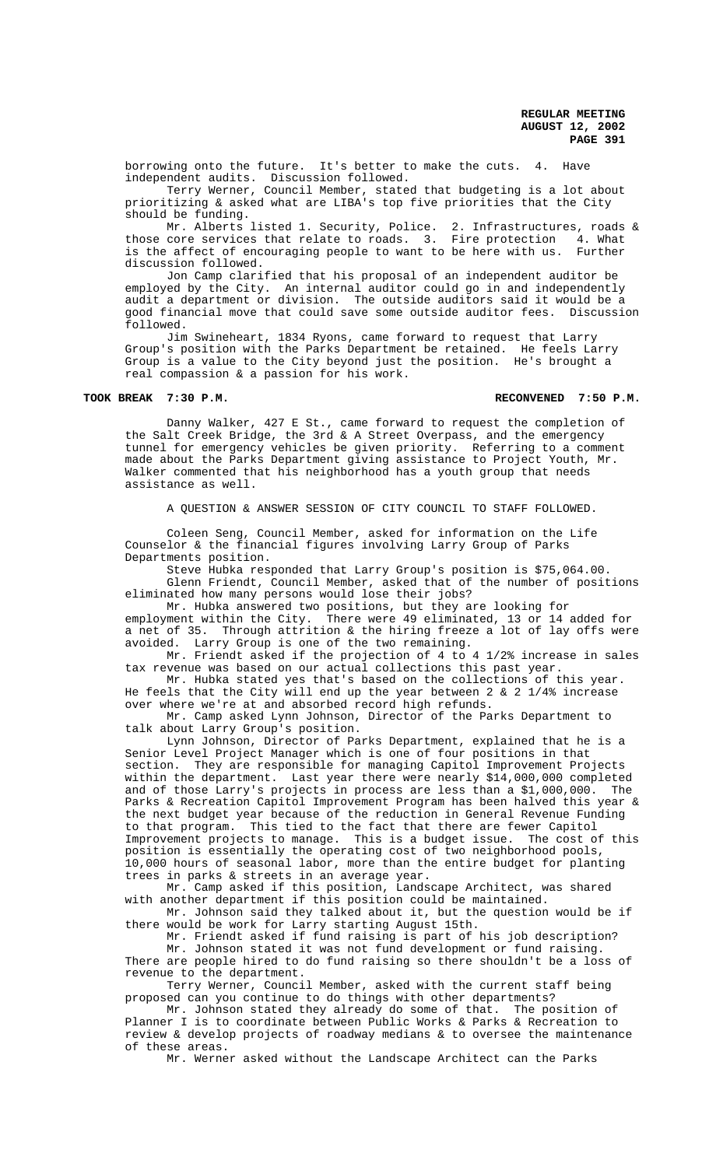borrowing onto the future. It's better to make the cuts. 4. Have independent audits. Discussion followed.

Terry Werner, Council Member, stated that budgeting is a lot about prioritizing & asked what are LIBA's top five priorities that the City should be funding.

Mr. Alberts listed 1. Security, Police. 2. Infrastructures, roads & those core services that relate to roads. 3. Fire protection 4. What is the affect of encouraging people to want to be here with us. Further discussion followed.

Jon Camp clarified that his proposal of an independent auditor be employed by the City. An internal auditor could go in and independently audit a department or division. The outside auditors said it would be a good financial move that could save some outside auditor fees. Discussion followed.

Jim Swineheart, 1834 Ryons, came forward to request that Larry Group's position with the Parks Department be retained. He feels Larry Group is a value to the City beyond just the position. He's brought a real compassion & a passion for his work.

### **TOOK BREAK 7:30 P.M. RECONVENED 7:50 P.M.**

Danny Walker, 427 E St., came forward to request the completion of the Salt Creek Bridge, the 3rd & A Street Overpass, and the emergency tunnel for emergency vehicles be given priority. Referring to a comment made about the Parks Department giving assistance to Project Youth, Mr. Walker commented that his neighborhood has a youth group that needs assistance as well.

A QUESTION & ANSWER SESSION OF CITY COUNCIL TO STAFF FOLLOWED.

Coleen Seng, Council Member, asked for information on the Life Counselor & the financial figures involving Larry Group of Parks Departments position.

Steve Hubka responded that Larry Group's position is \$75,064.00. Glenn Friendt, Council Member, asked that of the number of positions eliminated how many persons would lose their jobs?

Mr. Hubka answered two positions, but they are looking for employment within the City. There were 49 eliminated, 13 or 14 added for a net of 35. Through attrition & the hiring freeze a lot of lay offs were avoided. Larry Group is one of the two remaining.

Mr. Friendt asked if the projection of 4 to 4 1/2% increase in sales tax revenue was based on our actual collections this past year.

Mr. Hubka stated yes that's based on the collections of this year. He feels that the City will end up the year between 2 & 2 1/4% increase over where we're at and absorbed record high refunds.

Mr. Camp asked Lynn Johnson, Director of the Parks Department to talk about Larry Group's position.

Lynn Johnson, Director of Parks Department, explained that he is a Senior Level Project Manager which is one of four positions in that section. They are responsible for managing Capitol Improvement Projects within the department. Last year there were nearly \$14,000,000 completed and of those Larry's projects in process are less than a \$1,000,000. The Parks & Recreation Capitol Improvement Program has been halved this year & the next budget year because of the reduction in General Revenue Funding to that program. This tied to the fact that there are fewer Capitol Improvement projects to manage. This is a budget issue. The cost of this position is essentially the operating cost of two neighborhood pools, 10,000 hours of seasonal labor, more than the entire budget for planting trees in parks & streets in an average year.

Mr. Camp asked if this position, Landscape Architect, was shared with another department if this position could be maintained.

Mr. Johnson said they talked about it, but the question would be if there would be work for Larry starting August 15th.

Mr. Friendt asked if fund raising is part of his job description? Mr. Johnson stated it was not fund development or fund raising. There are people hired to do fund raising so there shouldn't be a loss of revenue to the department.

Terry Werner, Council Member, asked with the current staff being proposed can you continue to do things with other departments?

Mr. Johnson stated they already do some of that. The position of Planner I is to coordinate between Public Works & Parks & Recreation to review & develop projects of roadway medians & to oversee the maintenance of these areas.

Mr. Werner asked without the Landscape Architect can the Parks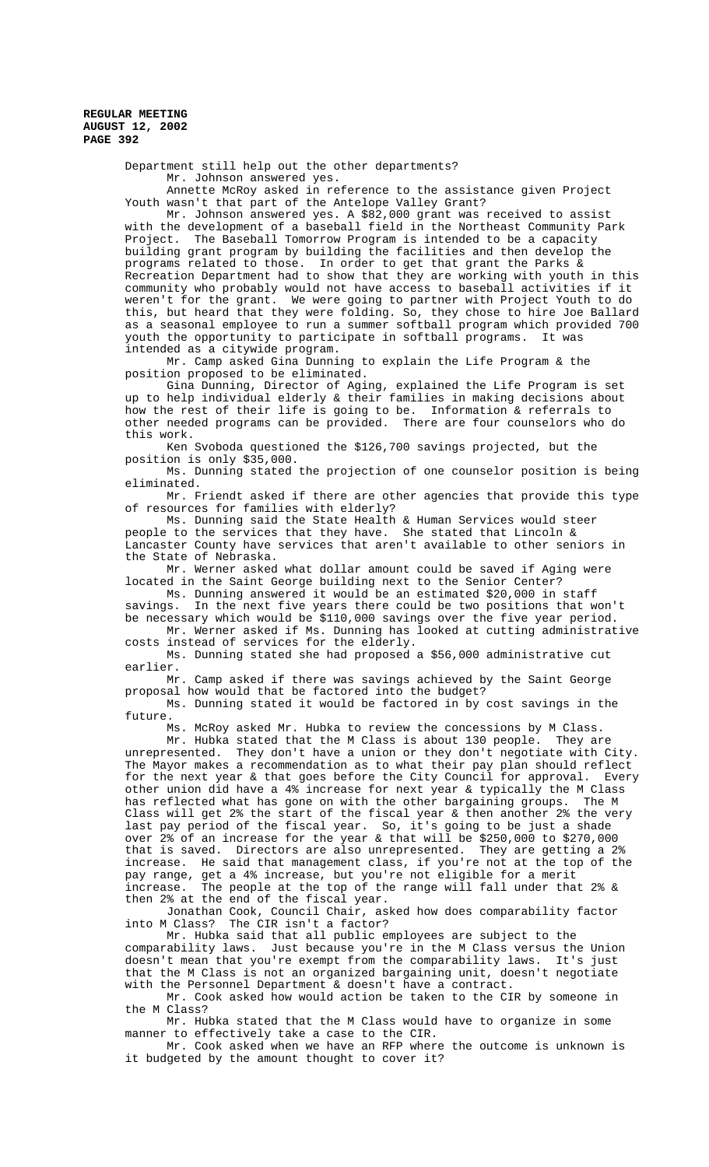> Department still help out the other departments? Mr. Johnson answered yes.

Annette McRoy asked in reference to the assistance given Project Youth wasn't that part of the Antelope Valley Grant?

Mr. Johnson answered yes. A \$82,000 grant was received to assist with the development of a baseball field in the Northeast Community Park Project. The Baseball Tomorrow Program is intended to be a capacity building grant program by building the facilities and then develop the programs related to those. In order to get that grant the Parks & Recreation Department had to show that they are working with youth in this community who probably would not have access to baseball activities if it weren't for the grant. We were going to partner with Project Youth to do this, but heard that they were folding. So, they chose to hire Joe Ballard as a seasonal employee to run a summer softball program which provided 700 youth the opportunity to participate in softball programs. It was intended as a citywide program.

Mr. Camp asked Gina Dunning to explain the Life Program & the position proposed to be eliminated.

Gina Dunning, Director of Aging, explained the Life Program is set up to help individual elderly & their families in making decisions about how the rest of their life is going to be. Information & referrals to other needed programs can be provided. There are four counselors who do this work.

Ken Svoboda questioned the \$126,700 savings projected, but the position is only \$35,000.

Ms. Dunning stated the projection of one counselor position is being eliminated.

Mr. Friendt asked if there are other agencies that provide this type of resources for families with elderly?

Ms. Dunning said the State Health & Human Services would steer people to the services that they have. She stated that Lincoln & Lancaster County have services that aren't available to other seniors in the State of Nebraska.

Mr. Werner asked what dollar amount could be saved if Aging were located in the Saint George building next to the Senior Center?

Ms. Dunning answered it would be an estimated \$20,000 in staff savings. In the next five years there could be two positions that won't be necessary which would be \$110,000 savings over the five year period.

Mr. Werner asked if Ms. Dunning has looked at cutting administrative costs instead of services for the elderly.

Ms. Dunning stated she had proposed a \$56,000 administrative cut earlier.

Mr. Camp asked if there was savings achieved by the Saint George proposal how would that be factored into the budget?

Ms. Dunning stated it would be factored in by cost savings in the future.

Ms. McRoy asked Mr. Hubka to review the concessions by M Class.

Mr. Hubka stated that the M Class is about 130 people. They are unrepresented. They don't have a union or they don't negotiate with City. The Mayor makes a recommendation as to what their pay plan should reflect for the next year & that goes before the City Council for approval. Every other union did have a 4% increase for next year & typically the M Class<br>has reflected what has gone on with the other bargaining groups. The M has reflected what has gone on with the other bargaining groups. Class will get 2% the start of the fiscal year & then another 2% the very last pay period of the fiscal year. So, it's going to be just a shade over 2% of an increase for the year & that will be \$250,000 to \$270,000 that is saved. Directors are also unrepresented. They are getting a 2% increase. He said that management class, if you're not at the top of the pay range, get a 4% increase, but you're not eligible for a merit<br>increase. The people at the top of the range will fall under tha The people at the top of the range will fall under that 2% & then 2% at the end of the fiscal year.

Jonathan Cook, Council Chair, asked how does comparability factor into M Class? The CIR isn't a factor?

Mr. Hubka said that all public employees are subject to the comparability laws. Just because you're in the M Class versus the Union doesn't mean that you're exempt from the comparability laws. It's just that the M Class is not an organized bargaining unit, doesn't negotiate with the Personnel Department & doesn't have a contract.

Mr. Cook asked how would action be taken to the CIR by someone in the M Class?

Mr. Hubka stated that the M Class would have to organize in some manner to effectively take a case to the CIR.

Mr. Cook asked when we have an RFP where the outcome is unknown is it budgeted by the amount thought to cover it?